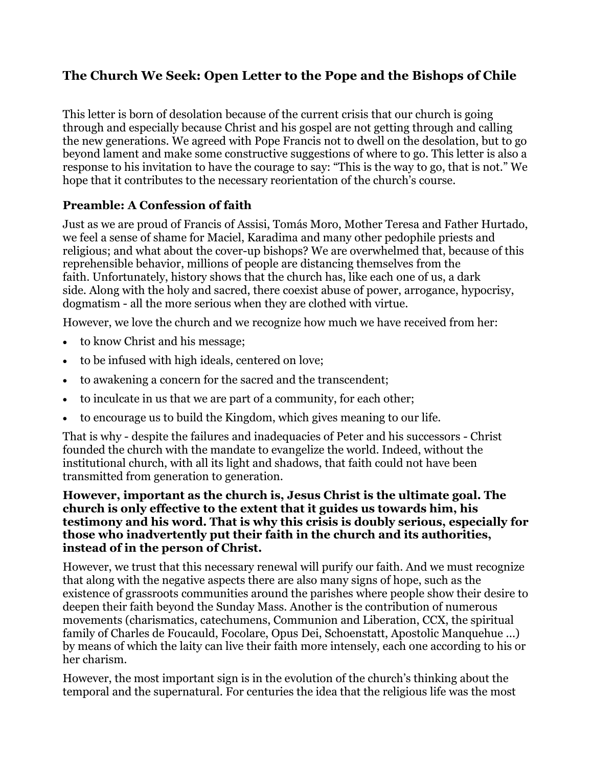# **The Church We Seek: Open Letter to the Pope and the Bishops of Chile**

This letter is born of desolation because of the current crisis that our church is going through and especially because Christ and his gospel are not getting through and calling the new generations. We agreed with Pope Francis not to dwell on the desolation, but to go beyond lament and make some constructive suggestions of where to go. This letter is also a response to his invitation to have the courage to say: "This is the way to go, that is not." We hope that it contributes to the necessary reorientation of the church's course.

## **Preamble: A Confession of faith**

Just as we are proud of Francis of Assisi, Tomás Moro, Mother Teresa and Father Hurtado, we feel a sense of shame for Maciel, Karadima and many other pedophile priests and religious; and what about the cover-up bishops? We are overwhelmed that, because of this reprehensible behavior, millions of people are distancing themselves from the faith. Unfortunately, history shows that the church has, like each one of us, a dark side. Along with the holy and sacred, there coexist abuse of power, arrogance, hypocrisy, dogmatism - all the more serious when they are clothed with virtue.

However, we love the church and we recognize how much we have received from her:

- to know Christ and his message;
- to be infused with high ideals, centered on love;
- to awakening a concern for the sacred and the transcendent;
- to inculcate in us that we are part of a community, for each other;
- to encourage us to build the Kingdom, which gives meaning to our life.

That is why - despite the failures and inadequacies of Peter and his successors - Christ founded the church with the mandate to evangelize the world. Indeed, without the institutional church, with all its light and shadows, that faith could not have been transmitted from generation to generation.

#### **However, important as the church is, Jesus Christ is the ultimate goal. The church is only effective to the extent that it guides us towards him, his testimony and his word. That is why this crisis is doubly serious, especially for those who inadvertently put their faith in the church and its authorities, instead of in the person of Christ.**

However, we trust that this necessary renewal will purify our faith. And we must recognize that along with the negative aspects there are also many signs of hope, such as the existence of grassroots communities around the parishes where people show their desire to deepen their faith beyond the Sunday Mass. Another is the contribution of numerous movements (charismatics, catechumens, Communion and Liberation, CCX, the spiritual family of Charles de Foucauld, Focolare, Opus Dei, Schoenstatt, Apostolic Manquehue ...) by means of which the laity can live their faith more intensely, each one according to his or her charism.

However, the most important sign is in the evolution of the church's thinking about the temporal and the supernatural. For centuries the idea that the religious life was the most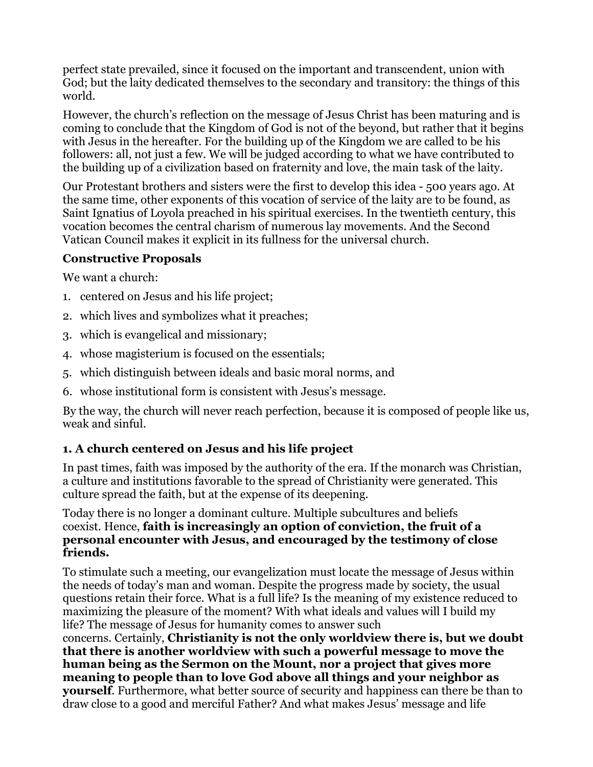perfect state prevailed, since it focused on the important and transcendent, union with God; but the laity dedicated themselves to the secondary and transitory: the things of this world.

However, the church's reflection on the message of Jesus Christ has been maturing and is coming to conclude that the Kingdom of God is not of the beyond, but rather that it begins with Jesus in the hereafter. For the building up of the Kingdom we are called to be his followers: all, not just a few. We will be judged according to what we have contributed to the building up of a civilization based on fraternity and love, the main task of the laity.

Our Protestant brothers and sisters were the first to develop this idea - 500 years ago. At the same time, other exponents of this vocation of service of the laity are to be found, as Saint Ignatius of Loyola preached in his spiritual exercises. In the twentieth century, this vocation becomes the central charism of numerous lay movements. And the Second Vatican Council makes it explicit in its fullness for the universal church.

## **Constructive Proposals**

We want a church:

- 1. centered on Jesus and his life project;
- 2. which lives and symbolizes what it preaches;
- 3. which is evangelical and missionary;
- 4. whose magisterium is focused on the essentials;
- 5. which distinguish between ideals and basic moral norms, and
- 6. whose institutional form is consistent with Jesus's message.

By the way, the church will never reach perfection, because it is composed of people like us, weak and sinful.

# **1. A church centered on Jesus and his life project**

In past times, faith was imposed by the authority of the era. If the monarch was Christian, a culture and institutions favorable to the spread of Christianity were generated. This culture spread the faith, but at the expense of its deepening.

Today there is no longer a dominant culture. Multiple subcultures and beliefs coexist. Hence, **faith is increasingly an option of conviction, the fruit of a personal encounter with Jesus, and encouraged by the testimony of close friends.**

To stimulate such a meeting, our evangelization must locate the message of Jesus within the needs of today's man and woman. Despite the progress made by society, the usual questions retain their force. What is a full life? Is the meaning of my existence reduced to maximizing the pleasure of the moment? With what ideals and values will I build my life? The message of Jesus for humanity comes to answer such

concerns. Certainly, **Christianity is not the only worldview there is, but we doubt that there is another worldview with such a powerful message to move the human being as the Sermon on the Mount, nor a project that gives more meaning to people than to love God above all things and your neighbor as yourself**. Furthermore, what better source of security and happiness can there be than to draw close to a good and merciful Father? And what makes Jesus' message and life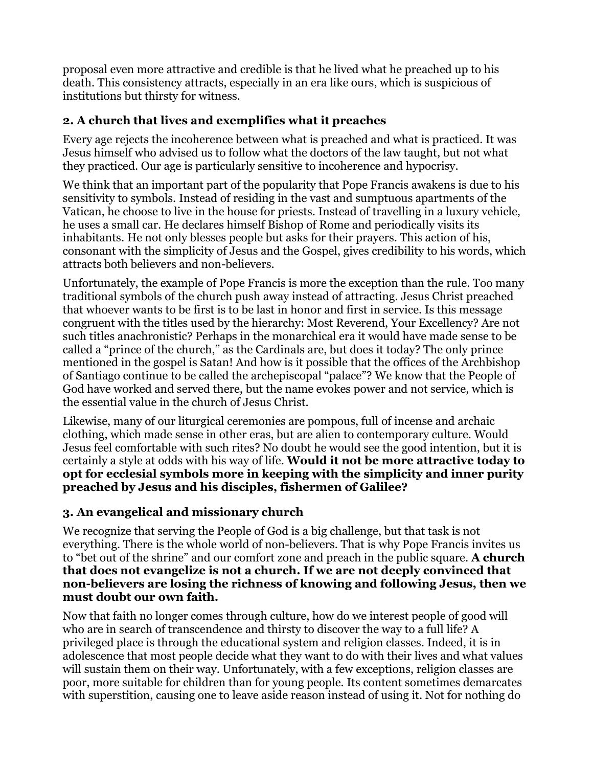proposal even more attractive and credible is that he lived what he preached up to his death. This consistency attracts, especially in an era like ours, which is suspicious of institutions but thirsty for witness.

# **2. A church that lives and exemplifies what it preaches**

Every age rejects the incoherence between what is preached and what is practiced. It was Jesus himself who advised us to follow what the doctors of the law taught, but not what they practiced. Our age is particularly sensitive to incoherence and hypocrisy.

We think that an important part of the popularity that Pope Francis awakens is due to his sensitivity to symbols. Instead of residing in the vast and sumptuous apartments of the Vatican, he choose to live in the house for priests. Instead of travelling in a luxury vehicle, he uses a small car. He declares himself Bishop of Rome and periodically visits its inhabitants. He not only blesses people but asks for their prayers. This action of his, consonant with the simplicity of Jesus and the Gospel, gives credibility to his words, which attracts both believers and non-believers.

Unfortunately, the example of Pope Francis is more the exception than the rule. Too many traditional symbols of the church push away instead of attracting. Jesus Christ preached that whoever wants to be first is to be last in honor and first in service. Is this message congruent with the titles used by the hierarchy: Most Reverend, Your Excellency? Are not such titles anachronistic? Perhaps in the monarchical era it would have made sense to be called a "prince of the church," as the Cardinals are, but does it today? The only prince mentioned in the gospel is Satan! And how is it possible that the offices of the Archbishop of Santiago continue to be called the archepiscopal "palace"? We know that the People of God have worked and served there, but the name evokes power and not service, which is the essential value in the church of Jesus Christ.

Likewise, many of our liturgical ceremonies are pompous, full of incense and archaic clothing, which made sense in other eras, but are alien to contemporary culture. Would Jesus feel comfortable with such rites? No doubt he would see the good intention, but it is certainly a style at odds with his way of life. **Would it not be more attractive today to opt for ecclesial symbols more in keeping with the simplicity and inner purity preached by Jesus and his disciples, fishermen of Galilee?**

# **3. An evangelical and missionary church**

We recognize that serving the People of God is a big challenge, but that task is not everything. There is the whole world of non-believers. That is why Pope Francis invites us to "bet out of the shrine" and our comfort zone and preach in the public square. **A church that does not evangelize is not a church. If we are not deeply convinced that non-believers are losing the richness of knowing and following Jesus, then we must doubt our own faith.**

Now that faith no longer comes through culture, how do we interest people of good will who are in search of transcendence and thirsty to discover the way to a full life? A privileged place is through the educational system and religion classes. Indeed, it is in adolescence that most people decide what they want to do with their lives and what values will sustain them on their way. Unfortunately, with a few exceptions, religion classes are poor, more suitable for children than for young people. Its content sometimes demarcates with superstition, causing one to leave aside reason instead of using it. Not for nothing do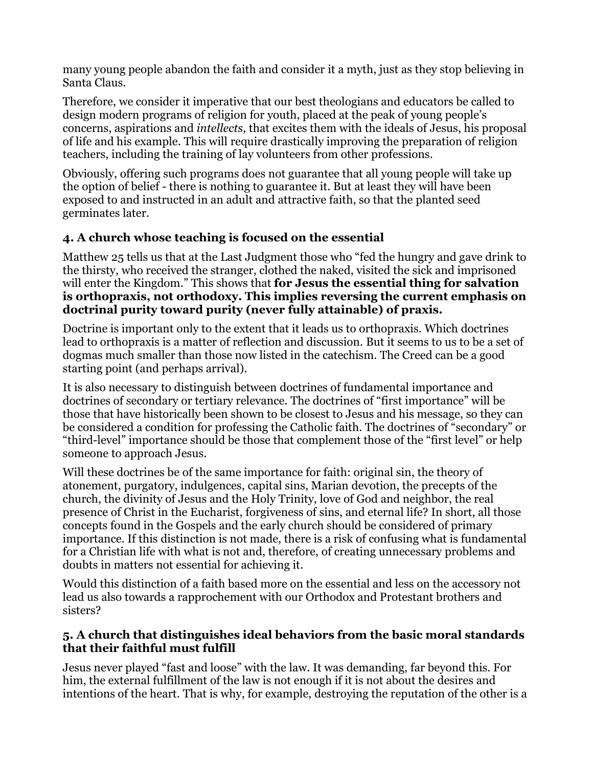many young people abandon the faith and consider it a myth, just as they stop believing in Santa Claus.

Therefore, we consider it imperative that our best theologians and educators be called to design modern programs of religion for youth, placed at the peak of young people's concerns, aspirations and *intellects,* that excites them with the ideals of Jesus, his proposal of life and his example. This will require drastically improving the preparation of religion teachers, including the training of lay volunteers from other professions.

Obviously, offering such programs does not guarantee that all young people will take up the option of belief - there is nothing to guarantee it. But at least they will have been exposed to and instructed in an adult and attractive faith, so that the planted seed germinates later.

# **4. A church whose teaching is focused on the essential**

Matthew 25 tells us that at the Last Judgment those who "fed the hungry and gave drink to the thirsty, who received the stranger, clothed the naked, visited the sick and imprisoned will enter the Kingdom." This shows that **for Jesus the essential thing for salvation is orthopraxis, not orthodoxy. This implies reversing the current emphasis on doctrinal purity toward purity (never fully attainable) of praxis.**

Doctrine is important only to the extent that it leads us to orthopraxis. Which doctrines lead to orthopraxis is a matter of reflection and discussion. But it seems to us to be a set of dogmas much smaller than those now listed in the catechism. The Creed can be a good starting point (and perhaps arrival).

It is also necessary to distinguish between doctrines of fundamental importance and doctrines of secondary or tertiary relevance. The doctrines of "first importance" will be those that have historically been shown to be closest to Jesus and his message, so they can be considered a condition for professing the Catholic faith. The doctrines of "secondary" or "third-level" importance should be those that complement those of the "first level" or help someone to approach Jesus.

Will these doctrines be of the same importance for faith: original sin, the theory of atonement, purgatory, indulgences, capital sins, Marian devotion, the precepts of the church, the divinity of Jesus and the Holy Trinity, love of God and neighbor, the real presence of Christ in the Eucharist, forgiveness of sins, and eternal life? In short, all those concepts found in the Gospels and the early church should be considered of primary importance. If this distinction is not made, there is a risk of confusing what is fundamental for a Christian life with what is not and, therefore, of creating unnecessary problems and doubts in matters not essential for achieving it.

Would this distinction of a faith based more on the essential and less on the accessory not lead us also towards a rapprochement with our Orthodox and Protestant brothers and sisters?

## **5. A church that distinguishes ideal behaviors from the basic moral standards that their faithful must fulfill**

Jesus never played "fast and loose" with the law. It was demanding, far beyond this. For him, the external fulfillment of the law is not enough if it is not about the desires and intentions of the heart. That is why, for example, destroying the reputation of the other is a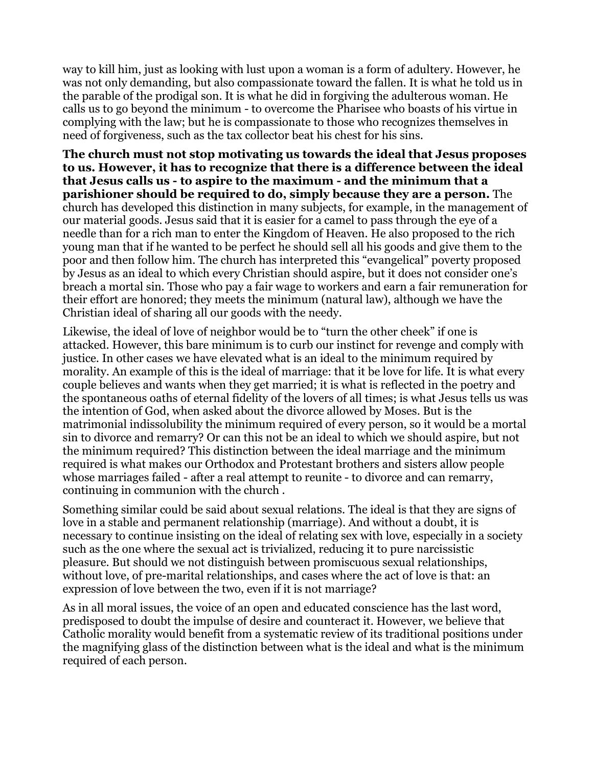way to kill him, just as looking with lust upon a woman is a form of adultery. However, he was not only demanding, but also compassionate toward the fallen. It is what he told us in the parable of the prodigal son. It is what he did in forgiving the adulterous woman. He calls us to go beyond the minimum - to overcome the Pharisee who boasts of his virtue in complying with the law; but he is compassionate to those who recognizes themselves in need of forgiveness, such as the tax collector beat his chest for his sins.

**The church must not stop motivating us towards the ideal that Jesus proposes to us. However, it has to recognize that there is a difference between the ideal that Jesus calls us - to aspire to the maximum - and the minimum that a parishioner should be required to do, simply because they are a person.** The church has developed this distinction in many subjects, for example, in the management of our material goods. Jesus said that it is easier for a camel to pass through the eye of a needle than for a rich man to enter the Kingdom of Heaven. He also proposed to the rich young man that if he wanted to be perfect he should sell all his goods and give them to the poor and then follow him. The church has interpreted this "evangelical" poverty proposed by Jesus as an ideal to which every Christian should aspire, but it does not consider one's breach a mortal sin. Those who pay a fair wage to workers and earn a fair remuneration for their effort are honored; they meets the minimum (natural law), although we have the Christian ideal of sharing all our goods with the needy.

Likewise, the ideal of love of neighbor would be to "turn the other cheek" if one is attacked. However, this bare minimum is to curb our instinct for revenge and comply with justice. In other cases we have elevated what is an ideal to the minimum required by morality. An example of this is the ideal of marriage: that it be love for life. It is what every couple believes and wants when they get married; it is what is reflected in the poetry and the spontaneous oaths of eternal fidelity of the lovers of all times; is what Jesus tells us was the intention of God, when asked about the divorce allowed by Moses. But is the matrimonial indissolubility the minimum required of every person, so it would be a mortal sin to divorce and remarry? Or can this not be an ideal to which we should aspire, but not the minimum required? This distinction between the ideal marriage and the minimum required is what makes our Orthodox and Protestant brothers and sisters allow people whose marriages failed - after a real attempt to reunite - to divorce and can remarry, continuing in communion with the church .

Something similar could be said about sexual relations. The ideal is that they are signs of love in a stable and permanent relationship (marriage). And without a doubt, it is necessary to continue insisting on the ideal of relating sex with love, especially in a society such as the one where the sexual act is trivialized, reducing it to pure narcissistic pleasure. But should we not distinguish between promiscuous sexual relationships, without love, of pre-marital relationships, and cases where the act of love is that: an expression of love between the two, even if it is not marriage?

As in all moral issues, the voice of an open and educated conscience has the last word, predisposed to doubt the impulse of desire and counteract it. However, we believe that Catholic morality would benefit from a systematic review of its traditional positions under the magnifying glass of the distinction between what is the ideal and what is the minimum required of each person.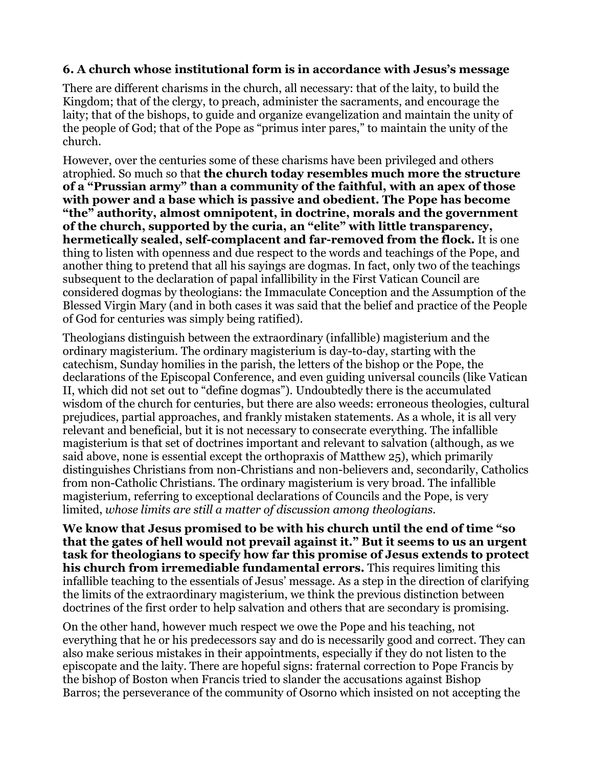#### **6. A church whose institutional form is in accordance with Jesus's message**

There are different charisms in the church, all necessary: that of the laity, to build the Kingdom; that of the clergy, to preach, administer the sacraments, and encourage the laity; that of the bishops, to guide and organize evangelization and maintain the unity of the people of God; that of the Pope as "primus inter pares," to maintain the unity of the church.

However, over the centuries some of these charisms have been privileged and others atrophied. So much so that **the church today resembles much more the structure of a "Prussian army" than a community of the faithful, with an apex of those with power and a base which is passive and obedient. The Pope has become "the" authority, almost omnipotent, in doctrine, morals and the government of the church, supported by the curia, an "elite" with little transparency, hermetically sealed, self-complacent and far-removed from the flock.** It is one thing to listen with openness and due respect to the words and teachings of the Pope, and another thing to pretend that all his sayings are dogmas. In fact, only two of the teachings subsequent to the declaration of papal infallibility in the First Vatican Council are considered dogmas by theologians: the Immaculate Conception and the Assumption of the Blessed Virgin Mary (and in both cases it was said that the belief and practice of the People of God for centuries was simply being ratified).

Theologians distinguish between the extraordinary (infallible) magisterium and the ordinary magisterium. The ordinary magisterium is day-to-day, starting with the catechism, Sunday homilies in the parish, the letters of the bishop or the Pope, the declarations of the Episcopal Conference, and even guiding universal councils (like Vatican II, which did not set out to "define dogmas"). Undoubtedly there is the accumulated wisdom of the church for centuries, but there are also weeds: erroneous theologies, cultural prejudices, partial approaches, and frankly mistaken statements. As a whole, it is all very relevant and beneficial, but it is not necessary to consecrate everything. The infallible magisterium is that set of doctrines important and relevant to salvation (although, as we said above, none is essential except the orthopraxis of Matthew 25), which primarily distinguishes Christians from non-Christians and non-believers and, secondarily, Catholics from non-Catholic Christians. The ordinary magisterium is very broad. The infallible magisterium, referring to exceptional declarations of Councils and the Pope, is very limited, *whose limits are still a matter of discussion among theologians*.

**We know that Jesus promised to be with his church until the end of time "so that the gates of hell would not prevail against it." But it seems to us an urgent task for theologians to specify how far this promise of Jesus extends to protect his church from irremediable fundamental errors.** This requires limiting this infallible teaching to the essentials of Jesus' message. As a step in the direction of clarifying the limits of the extraordinary magisterium, we think the previous distinction between doctrines of the first order to help salvation and others that are secondary is promising.

On the other hand, however much respect we owe the Pope and his teaching, not everything that he or his predecessors say and do is necessarily good and correct. They can also make serious mistakes in their appointments, especially if they do not listen to the episcopate and the laity. There are hopeful signs: fraternal correction to Pope Francis by the bishop of Boston when Francis tried to slander the accusations against Bishop Barros; the perseverance of the community of Osorno which insisted on not accepting the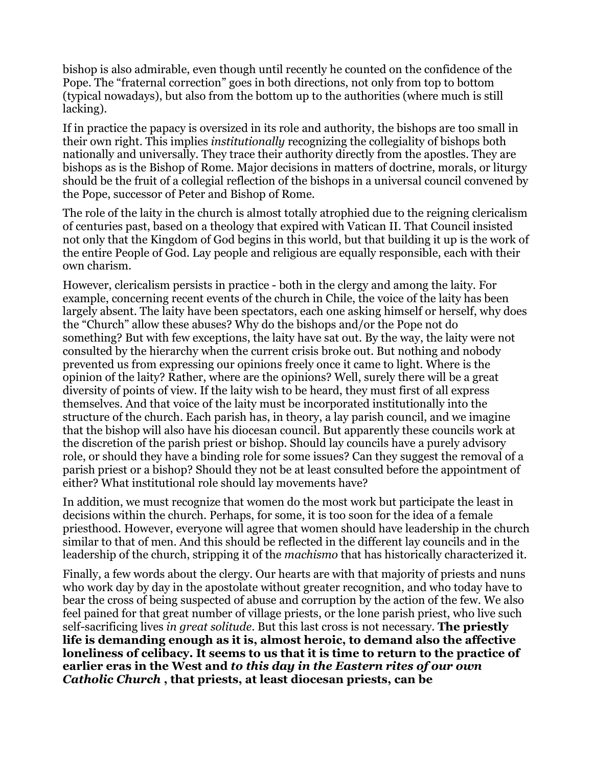bishop is also admirable, even though until recently he counted on the confidence of the Pope. The "fraternal correction" goes in both directions, not only from top to bottom (typical nowadays), but also from the bottom up to the authorities (where much is still lacking).

If in practice the papacy is oversized in its role and authority, the bishops are too small in their own right. This implies *institutionally* recognizing the collegiality of bishops both nationally and universally. They trace their authority directly from the apostles. They are bishops as is the Bishop of Rome. Major decisions in matters of doctrine, morals, or liturgy should be the fruit of a collegial reflection of the bishops in a universal council convened by the Pope, successor of Peter and Bishop of Rome.

The role of the laity in the church is almost totally atrophied due to the reigning clericalism of centuries past, based on a theology that expired with Vatican II. That Council insisted not only that the Kingdom of God begins in this world, but that building it up is the work of the entire People of God. Lay people and religious are equally responsible, each with their own charism.

However, clericalism persists in practice - both in the clergy and among the laity. For example, concerning recent events of the church in Chile, the voice of the laity has been largely absent. The laity have been spectators, each one asking himself or herself, why does the "Church" allow these abuses? Why do the bishops and/or the Pope not do something? But with few exceptions, the laity have sat out. By the way, the laity were not consulted by the hierarchy when the current crisis broke out. But nothing and nobody prevented us from expressing our opinions freely once it came to light. Where is the opinion of the laity? Rather, where are the opinions? Well, surely there will be a great diversity of points of view. If the laity wish to be heard, they must first of all express themselves. And that voice of the laity must be incorporated institutionally into the structure of the church. Each parish has, in theory, a lay parish council, and we imagine that the bishop will also have his diocesan council. But apparently these councils work at the discretion of the parish priest or bishop. Should lay councils have a purely advisory role, or should they have a binding role for some issues? Can they suggest the removal of a parish priest or a bishop? Should they not be at least consulted before the appointment of either? What institutional role should lay movements have?

In addition, we must recognize that women do the most work but participate the least in decisions within the church. Perhaps, for some, it is too soon for the idea of a female priesthood. However, everyone will agree that women should have leadership in the church similar to that of men. And this should be reflected in the different lay councils and in the leadership of the church, stripping it of the *machismo* that has historically characterized it.

Finally, a few words about the clergy. Our hearts are with that majority of priests and nuns who work day by day in the apostolate without greater recognition, and who today have to bear the cross of being suspected of abuse and corruption by the action of the few. We also feel pained for that great number of village priests, or the lone parish priest, who live such self-sacrificing lives *in great solitude*. But this last cross is not necessary. **The priestly life is demanding enough as it is, almost heroic, to demand also the affective loneliness of celibacy. It seems to us that it is time to return to the practice of earlier eras in the West and** *to this day in the Eastern rites of our own Catholic Church* **, that priests, at least diocesan priests, can be**